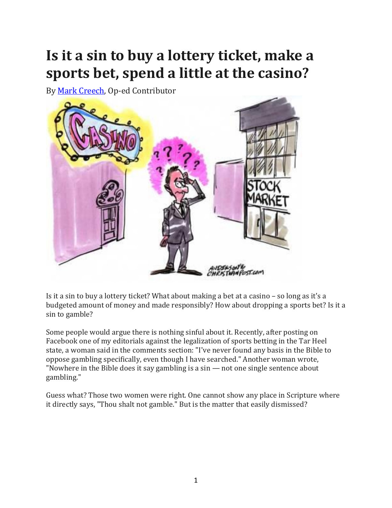## **Is it a sin to buy a lottery ticket, make a sports bet, spend a little at the casino?**

By [Mark Creech,](safari-reader://www.christianpost.com/by/mark-creech) Op-ed Contributor



Is it a sin to buy a lottery ticket? What about making a bet at a casino – so long as it's a budgeted amount of money and made responsibly? How about dropping a sports bet? Is it a sin to gamble?

Some people would argue there is nothing sinful about it. Recently, after posting on Facebook one of my editorials against the legalization of sports betting in the Tar Heel state, a woman said in the comments section: "I've never found any basis in the Bible to oppose gambling specifically, even though I have searched." Another woman wrote, "Nowhere in the Bible does it say gambling is a sin — not one single sentence about gambling."

Guess what? Those two women were right. One cannot show any place in Scripture where it directly says, "Thou shalt not gamble." But is the matter that easily dismissed?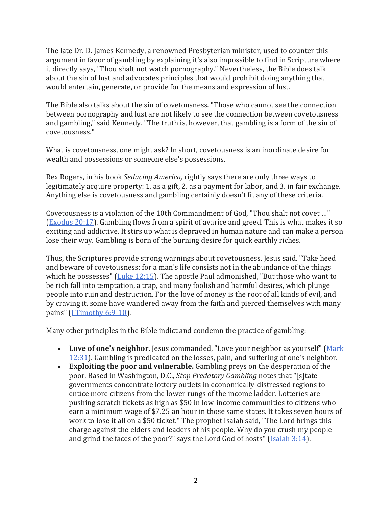The late Dr. D. James Kennedy, a renowned Presbyterian minister, used to counter this argument in favor of gambling by explaining it's also impossible to find in Scripture where it directly says, "Thou shalt not watch pornography." Nevertheless, the Bible does talk about the sin of lust and advocates principles that would prohibit doing anything that would entertain, generate, or provide for the means and expression of lust.

The Bible also talks about the sin of covetousness. "Those who cannot see the connection between pornography and lust are not likely to see the connection between covetousness and gambling," said Kennedy. "The truth is, however, that gambling is a form of the sin of covetousness."

What is covetousness, one might ask? In short, covetousness is an inordinate desire for wealth and possessions or someone else's possessions.

Rex Rogers, in his book *Seducing America,* rightly says there are only three ways to legitimately acquire property: 1. as a gift, 2. as a payment for labor, and 3. in fair exchange. Anything else is covetousness and gambling certainly doesn't fit any of these criteria.

Covetousness is a violation of the 10th Commandment of God, "Thou shalt not covet …" [\(Exodus 20:17\)](https://bibleportal.com/verse-topic?version=NIV&v=Exodus%2020:17). Gambling flows from a spirit of avarice and greed. This is what makes it so exciting and addictive. It stirs up what is depraved in human nature and can make a person lose their way. Gambling is born of the burning desire for quick earthly riches.

Thus, the Scriptures provide strong warnings about covetousness. Jesus said, "Take heed and beware of covetousness: for a man's life consists not in the abundance of the things which he possesses" [\(Luke 12:15\)](https://bibleportal.com/verse-topic?version=NIV&v=Luke%2012:15). The apostle Paul admonished, "But those who want to be rich fall into temptation, a trap, and many foolish and harmful desires, which plunge people into ruin and destruction. For the love of money is the root of all kinds of evil, and by craving it, some have wandered away from the faith and pierced themselves with many pains" [\(I Timothy 6:9-10\)](https://bibleportal.com/verse-topic?version=NIV&v=ITimothy%206:9-10).

Many other principles in the Bible indict and condemn the practice of gambling:

- Love of one's neighbor. Jesus commanded, "Love your neighbor as yourself" (Mark [12:31\)](https://bibleportal.com/verse-topic?version=NIV&v=Mark%2012:31). Gambling is predicated on the losses, pain, and suffering of one's neighbor.
- **Exploiting the poor and vulnerable.** Gambling preys on the desperation of the poor. Based in Washington, D.C., *Stop Predatory Gambling* notes that "[s]tate governments concentrate lottery outlets in economically-distressed regions to entice more citizens from the lower rungs of the income ladder. Lotteries are pushing scratch tickets as high as \$50 in low-income communities to citizens who earn a minimum wage of \$7.25 an hour in those same states. It takes seven hours of work to lose it all on a \$50 ticket." The prophet Isaiah said, "The Lord brings this charge against the elders and leaders of his people. Why do you crush my people and grind the faces of the poor?" says the Lord God of hosts" [\(Isaiah 3:14\)](https://bibleportal.com/verse-topic?version=NIV&v=Isaiah%203:14).